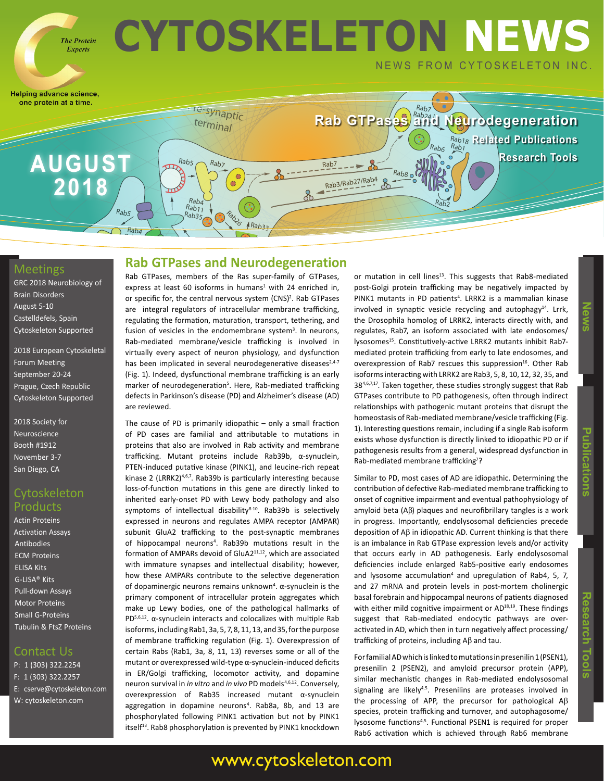

#### Meetings

GRC 2018 Neurobiology of Brain Disorders August 5-10 Castelldefels, Spain Cytoskeleton Supported

2018 European Cytoskeletal Forum Meeting September 20-24 Prague, Czech Republic Cytoskeleton Supported

2018 Society for Neuroscience Booth #1912 November 3-7 San Diego, CA

#### **Cytoskeleton** Products

Actin Proteins Activation Assays Antibodies ECM Proteins ELISA Kits G-LISA® Kits Pull-down Assays Motor Proteins Small G-Proteins Tubulin & FtsZ Proteins

#### Contact Us

P: 1 (303) 322.2254 F: 1 (303) 322.2257 E: cserve@cytoskeleton.com W: cytoskeleton.com

### **Rab GTPases and Neurodegeneration**

Rab GTPases, members of the Ras super-family of GTPases, express at least 60 isoforms in humans<sup>1</sup> with 24 enriched in, or specific for, the central nervous system (CNS)<sup>2</sup>. Rab GTPases are integral regulators of intracellular membrane trafficking, regulating the formation, maturation, transport, tethering, and fusion of vesicles in the endomembrane system<sup>3</sup>. In neurons, Rab-mediated membrane/vesicle trafficking is involved in virtually every aspect of neuron physiology, and dysfunction has been implicated in several neurodegenerative diseases<sup>2,4-7</sup> (Fig. 1). Indeed, dysfunctional membrane trafficking is an early marker of neurodegeneration<sup>5</sup>. Here, Rab-mediated trafficking defects in Parkinson's disease (PD) and Alzheimer's disease (AD) are reviewed.

The cause of PD is primarily idiopathic – only a small fraction of PD cases are familial and attributable to mutations in proteins that also are involved in Rab activity and membrane trafficking. Mutant proteins include Rab39b, α-synuclein, PTEN-induced putative kinase (PINK1), and leucine-rich repeat kinase 2 (LRRK2)<sup>4,6,7</sup>. Rab39b is particularly interesting because loss-of-function mutations in this gene are directly linked to inherited early-onset PD with Lewy body pathology and also symptoms of intellectual disability<sup>8-10</sup>. Rab39b is selectively expressed in neurons and regulates AMPA receptor (AMPAR) subunit GluA2 trafficking to the post-synaptic membranes of hippocampal neurons<sup>4</sup>. Rab39b mutations result in the formation of AMPARs devoid of GluA211,12, which are associated with immature synapses and intellectual disability; however, how these AMPARs contribute to the selective degeneration of dopaminergic neurons remains unknown<sup>4</sup>. α-synuclein is the primary component of intracellular protein aggregates which make up Lewy bodies, one of the pathological hallmarks of PD $5,6,12$ .  $\alpha$ -synuclein interacts and colocalizes with multiple Rab isoforms, including Rab1, 3a, 5, 7, 8, 11, 13, and 35, for the purpose of membrane trafficking regulation (Fig. 1). Overexpression of certain Rabs (Rab1, 3a, 8, 11, 13) reverses some or all of the mutant or overexpressed wild-type α-synuclein-induced deficits in ER/Golgi trafficking, locomotor activity, and dopamine neuron survival in *in vitro* and *in vivo* PD models<sup>4,6,12</sup>. Conversely, overexpression of Rab35 increased mutant α-synuclein aggregation in dopamine neurons<sup>4</sup>. Rab8a, 8b, and 13 are phosphorylated following PINK1 activation but not by PINK1 itself<sup>13</sup>. Rab8 phosphorylation is prevented by PINK1 knockdown

or mutation in cell lines<sup>13</sup>. This suggests that Rab8-mediated post-Golgi protein trafficking may be negatively impacted by PINK1 mutants in PD patients<sup>4</sup>. LRRK2 is a mammalian kinase involved in synaptic vesicle recycling and autophagy $14$ . Lrrk, the Drosophila homolog of LRRK2, interacts directly with, and regulates, Rab7, an isoform associated with late endosomes/ lysosomes<sup>15</sup>. Constitutively-active LRRK2 mutants inhibit Rab7mediated protein trafficking from early to late endosomes, and overexpression of Rab7 rescues this suppression<sup>16</sup>. Other Rab isoforms interacting with LRRK2 are Rab3, 5, 8, 10, 12, 32, 35, and 384,6,7,17. Taken together, these studies strongly suggest that Rab GTPases contribute to PD pathogenesis, often through indirect relationships with pathogenic mutant proteins that disrupt the homeostasis of Rab-mediated membrane/vesicle trafficking (Fig. 1). Interesting questions remain, including if a single Rab isoform exists whose dysfunction is directly linked to idiopathic PD or if pathogenesis results from a general, widespread dysfunction in Rab-mediated membrane trafficking<sup>7</sup>?

Similar to PD, most cases of AD are idiopathic. Determining the contribution of defective Rab-mediated membrane trafficking to onset of cognitive impairment and eventual pathophysiology of amyloid beta  $(AB)$  plaques and neurofibrillary tangles is a work in progress. Importantly, endolysosomal deficiencies precede deposition of  $A\beta$  in idiopathic AD. Current thinking is that there is an imbalance in Rab GTPase expression levels and/or activity that occurs early in AD pathogenesis. Early endolysosomal deficiencies include enlarged Rab5-positive early endosomes and lysosome accumulation<sup>4</sup> and upregulation of Rab4, 5, 7, and 27 mRNA and protein levels in post-mortem cholinergic basal forebrain and hippocampal neurons of patients diagnosed with either mild cognitive impairment or AD<sup>18,19</sup>. These findings suggest that Rab-mediated endocytic pathways are overactivated in AD, which then in turn negatively affect processing/ trafficking of proteins, including  $AB$  and tau.

For familial AD which is linked to mutations in presenilin 1 (PSEN1), presenilin 2 (PSEN2), and amyloid precursor protein (APP), similar mechanistic changes in Rab-mediated endolysosomal signaling are likely<sup>4,5</sup>. Presenilins are proteases involved in the processing of APP, the precursor for pathological A $\beta$ species, protein trafficking and turnover, and autophagosome/ lysosome functions<sup>4,5</sup>. Functional PSEN1 is required for proper Rab6 activation which is achieved through Rab6 membrane